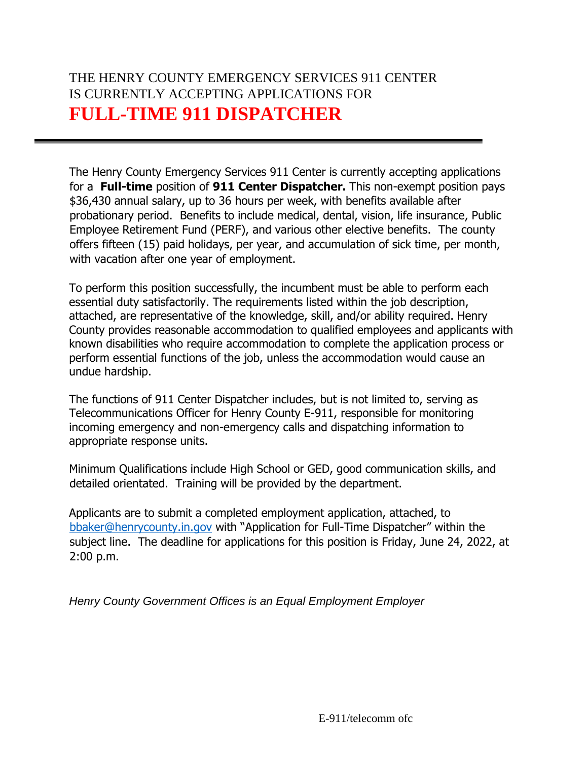# THE HENRY COUNTY EMERGENCY SERVICES 911 CENTER IS CURRENTLY ACCEPTING APPLICATIONS FOR **FULL-TIME 911 DISPATCHER**

The Henry County Emergency Services 911 Center is currently accepting applications for a **Full-time** position of **911 Center Dispatcher.** This non-exempt position pays \$36,430 annual salary, up to 36 hours per week, with benefits available after probationary period. Benefits to include medical, dental, vision, life insurance, Public Employee Retirement Fund (PERF), and various other elective benefits. The county offers fifteen (15) paid holidays, per year, and accumulation of sick time, per month, with vacation after one year of employment.

To perform this position successfully, the incumbent must be able to perform each essential duty satisfactorily. The requirements listed within the job description, attached, are representative of the knowledge, skill, and/or ability required. Henry County provides reasonable accommodation to qualified employees and applicants with known disabilities who require accommodation to complete the application process or perform essential functions of the job, unless the accommodation would cause an undue hardship.

The functions of 911 Center Dispatcher includes, but is not limited to, serving as Telecommunications Officer for Henry County E-911, responsible for monitoring incoming emergency and non-emergency calls and dispatching information to appropriate response units.

Minimum Qualifications include High School or GED, good communication skills, and detailed orientated. Training will be provided by the department.

Applicants are to submit a completed employment application, attached, to [bbaker@henrycounty.in.gov](mailto:bbaker@henrycounty.in.gov) with "Application for Full-Time Dispatcher" within the subject line. The deadline for applications for this position is Friday, June 24, 2022, at 2:00 p.m.

*Henry County Government Offices is an Equal Employment Employer*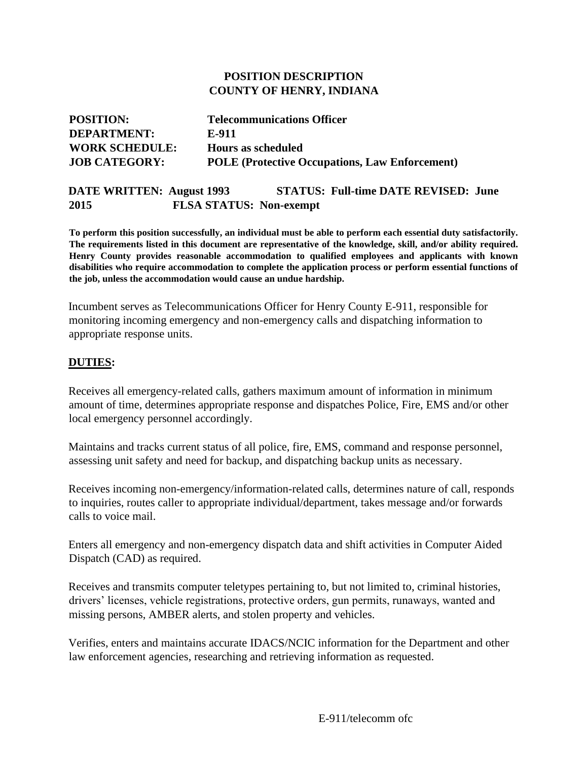#### **POSITION DESCRIPTION COUNTY OF HENRY, INDIANA**

| <b>POSITION:</b>      | <b>Telecommunications Officer</b>                     |
|-----------------------|-------------------------------------------------------|
| <b>DEPARTMENT:</b>    | E-911                                                 |
| <b>WORK SCHEDULE:</b> | <b>Hours as scheduled</b>                             |
| <b>JOB CATEGORY:</b>  | <b>POLE</b> (Protective Occupations, Law Enforcement) |

## **DATE WRITTEN: August 1993 STATUS: Full-time DATE REVISED: June 2015 FLSA STATUS: Non-exempt**

**To perform this position successfully, an individual must be able to perform each essential duty satisfactorily. The requirements listed in this document are representative of the knowledge, skill, and/or ability required. Henry County provides reasonable accommodation to qualified employees and applicants with known disabilities who require accommodation to complete the application process or perform essential functions of the job, unless the accommodation would cause an undue hardship.** 

Incumbent serves as Telecommunications Officer for Henry County E-911, responsible for monitoring incoming emergency and non-emergency calls and dispatching information to appropriate response units.

### **DUTIES:**

Receives all emergency-related calls, gathers maximum amount of information in minimum amount of time, determines appropriate response and dispatches Police, Fire, EMS and/or other local emergency personnel accordingly.

Maintains and tracks current status of all police, fire, EMS, command and response personnel, assessing unit safety and need for backup, and dispatching backup units as necessary.

Receives incoming non-emergency/information-related calls, determines nature of call, responds to inquiries, routes caller to appropriate individual/department, takes message and/or forwards calls to voice mail.

Enters all emergency and non-emergency dispatch data and shift activities in Computer Aided Dispatch (CAD) as required.

Receives and transmits computer teletypes pertaining to, but not limited to, criminal histories, drivers' licenses, vehicle registrations, protective orders, gun permits, runaways, wanted and missing persons, AMBER alerts, and stolen property and vehicles.

Verifies, enters and maintains accurate IDACS/NCIC information for the Department and other law enforcement agencies, researching and retrieving information as requested.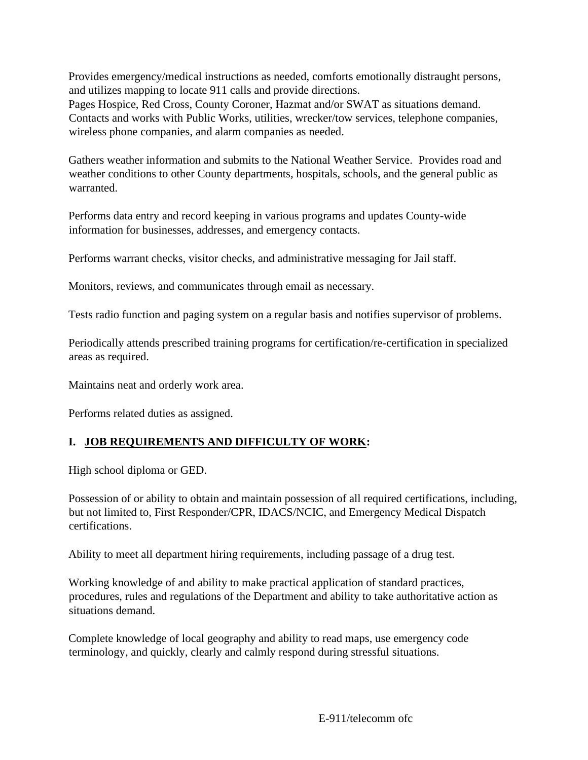Provides emergency/medical instructions as needed, comforts emotionally distraught persons, and utilizes mapping to locate 911 calls and provide directions.

Pages Hospice, Red Cross, County Coroner, Hazmat and/or SWAT as situations demand. Contacts and works with Public Works, utilities, wrecker/tow services, telephone companies, wireless phone companies, and alarm companies as needed.

Gathers weather information and submits to the National Weather Service. Provides road and weather conditions to other County departments, hospitals, schools, and the general public as warranted.

Performs data entry and record keeping in various programs and updates County-wide information for businesses, addresses, and emergency contacts.

Performs warrant checks, visitor checks, and administrative messaging for Jail staff.

Monitors, reviews, and communicates through email as necessary.

Tests radio function and paging system on a regular basis and notifies supervisor of problems.

Periodically attends prescribed training programs for certification/re-certification in specialized areas as required.

Maintains neat and orderly work area.

Performs related duties as assigned.

## **I. JOB REQUIREMENTS AND DIFFICULTY OF WORK:**

High school diploma or GED.

Possession of or ability to obtain and maintain possession of all required certifications, including, but not limited to, First Responder/CPR, IDACS/NCIC, and Emergency Medical Dispatch certifications.

Ability to meet all department hiring requirements, including passage of a drug test.

Working knowledge of and ability to make practical application of standard practices, procedures, rules and regulations of the Department and ability to take authoritative action as situations demand.

Complete knowledge of local geography and ability to read maps, use emergency code terminology, and quickly, clearly and calmly respond during stressful situations.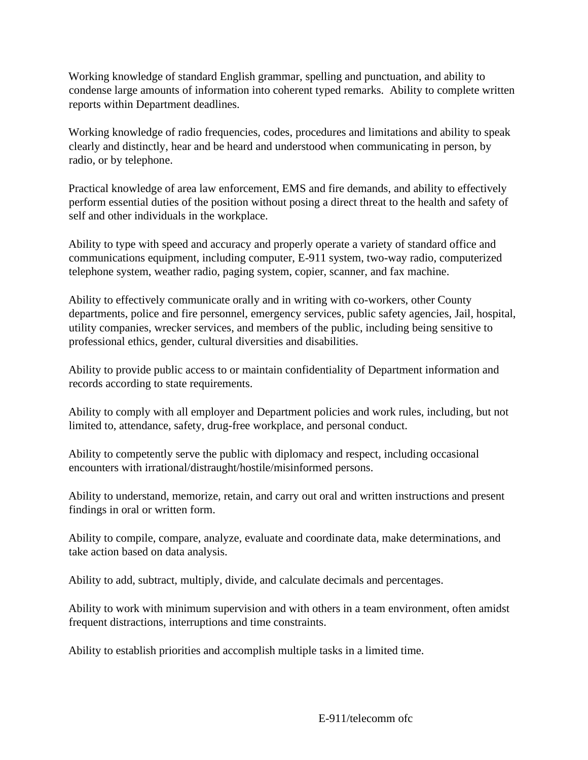Working knowledge of standard English grammar, spelling and punctuation, and ability to condense large amounts of information into coherent typed remarks. Ability to complete written reports within Department deadlines.

Working knowledge of radio frequencies, codes, procedures and limitations and ability to speak clearly and distinctly, hear and be heard and understood when communicating in person, by radio, or by telephone.

Practical knowledge of area law enforcement, EMS and fire demands, and ability to effectively perform essential duties of the position without posing a direct threat to the health and safety of self and other individuals in the workplace.

Ability to type with speed and accuracy and properly operate a variety of standard office and communications equipment, including computer, E-911 system, two-way radio, computerized telephone system, weather radio, paging system, copier, scanner, and fax machine.

Ability to effectively communicate orally and in writing with co-workers, other County departments, police and fire personnel, emergency services, public safety agencies, Jail, hospital, utility companies, wrecker services, and members of the public, including being sensitive to professional ethics, gender, cultural diversities and disabilities.

Ability to provide public access to or maintain confidentiality of Department information and records according to state requirements.

Ability to comply with all employer and Department policies and work rules, including, but not limited to, attendance, safety, drug-free workplace, and personal conduct.

Ability to competently serve the public with diplomacy and respect, including occasional encounters with irrational/distraught/hostile/misinformed persons.

Ability to understand, memorize, retain, and carry out oral and written instructions and present findings in oral or written form.

Ability to compile, compare, analyze, evaluate and coordinate data, make determinations, and take action based on data analysis.

Ability to add, subtract, multiply, divide, and calculate decimals and percentages.

Ability to work with minimum supervision and with others in a team environment, often amidst frequent distractions, interruptions and time constraints.

Ability to establish priorities and accomplish multiple tasks in a limited time.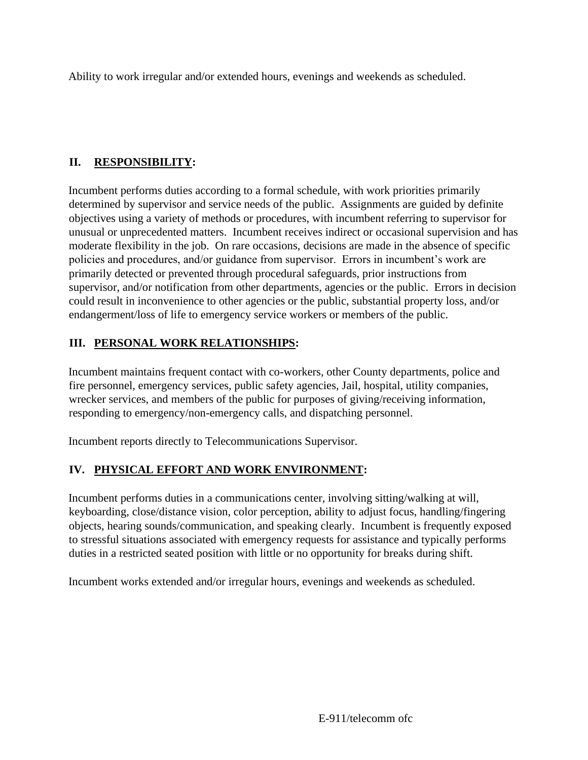Ability to work irregular and/or extended hours, evenings and weekends as scheduled.

# **II. RESPONSIBILITY:**

Incumbent performs duties according to a formal schedule, with work priorities primarily determined by supervisor and service needs of the public. Assignments are guided by definite objectives using a variety of methods or procedures, with incumbent referring to supervisor for unusual or unprecedented matters. Incumbent receives indirect or occasional supervision and has moderate flexibility in the job. On rare occasions, decisions are made in the absence of specific policies and procedures, and/or guidance from supervisor. Errors in incumbent's work are primarily detected or prevented through procedural safeguards, prior instructions from supervisor, and/or notification from other departments, agencies or the public. Errors in decision could result in inconvenience to other agencies or the public, substantial property loss, and/or endangerment/loss of life to emergency service workers or members of the public.

# **III. PERSONAL WORK RELATIONSHIPS:**

Incumbent maintains frequent contact with co-workers, other County departments, police and fire personnel, emergency services, public safety agencies, Jail, hospital, utility companies, wrecker services, and members of the public for purposes of giving/receiving information, responding to emergency/non-emergency calls, and dispatching personnel.

Incumbent reports directly to Telecommunications Supervisor.

# **IV. PHYSICAL EFFORT AND WORK ENVIRONMENT:**

Incumbent performs duties in a communications center, involving sitting/walking at will, keyboarding, close/distance vision, color perception, ability to adjust focus, handling/fingering objects, hearing sounds/communication, and speaking clearly. Incumbent is frequently exposed to stressful situations associated with emergency requests for assistance and typically performs duties in a restricted seated position with little or no opportunity for breaks during shift.

Incumbent works extended and/or irregular hours, evenings and weekends as scheduled.